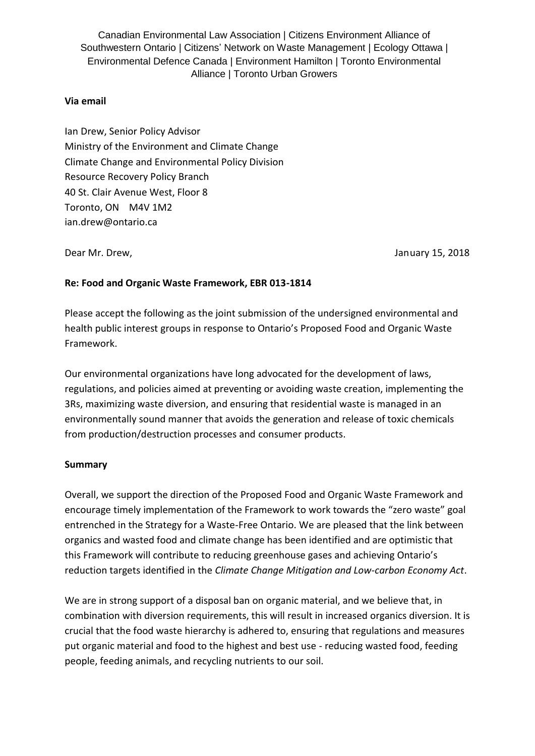Canadian Environmental Law Association | Citizens Environment Alliance of Southwestern Ontario | Citizens' Network on Waste Management | Ecology Ottawa | Environmental Defence Canada | Environment Hamilton | Toronto Environmental Alliance | Toronto Urban Growers

### **Via email**

Ian Drew, Senior Policy Advisor Ministry of the Environment and Climate Change Climate Change and Environmental Policy Division Resource Recovery Policy Branch 40 St. Clair Avenue West, Floor 8 Toronto, ON M4V 1M2 ian.drew@ontario.ca

Dear Mr. Drew, January 15, 2018

### **Re: Food and Organic Waste Framework, EBR 013-1814**

Please accept the following as the joint submission of the undersigned environmental and health public interest groups in response to Ontario's Proposed Food and Organic Waste Framework.

Our environmental organizations have long advocated for the development of laws, regulations, and policies aimed at preventing or avoiding waste creation, implementing the 3Rs, maximizing waste diversion, and ensuring that residential waste is managed in an environmentally sound manner that avoids the generation and release of toxic chemicals from production/destruction processes and consumer products.

#### **Summary**

Overall, we support the direction of the Proposed Food and Organic Waste Framework and encourage timely implementation of the Framework to work towards the "zero waste" goal entrenched in the Strategy for a Waste-Free Ontario. We are pleased that the link between organics and wasted food and climate change has been identified and are optimistic that this Framework will contribute to reducing greenhouse gases and achieving Ontario's reduction targets identified in the *Climate Change Mitigation and Low-carbon Economy Act*.

We are in strong support of a disposal ban on organic material, and we believe that, in combination with diversion requirements, this will result in increased organics diversion. It is crucial that the food waste hierarchy is adhered to, ensuring that regulations and measures put organic material and food to the highest and best use - reducing wasted food, feeding people, feeding animals, and recycling nutrients to our soil.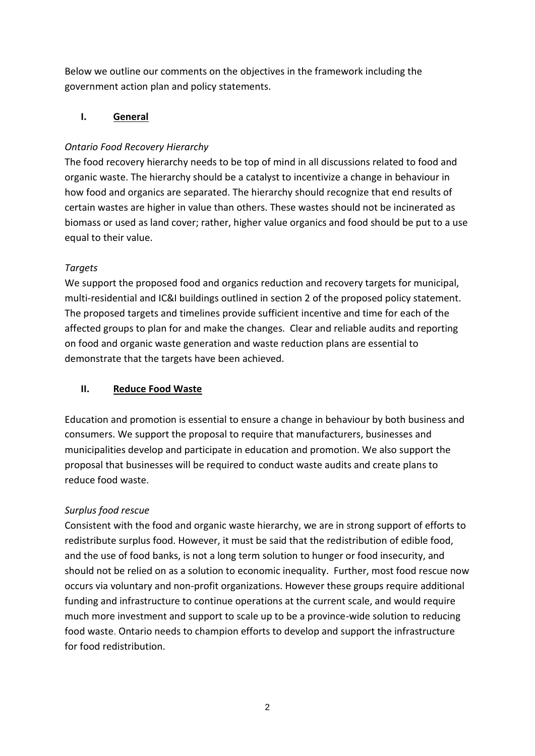Below we outline our comments on the objectives in the framework including the government action plan and policy statements.

# **I. General**

# *Ontario Food Recovery Hierarchy*

The food recovery hierarchy needs to be top of mind in all discussions related to food and organic waste. The hierarchy should be a catalyst to incentivize a change in behaviour in how food and organics are separated. The hierarchy should recognize that end results of certain wastes are higher in value than others. These wastes should not be incinerated as biomass or used as land cover; rather, higher value organics and food should be put to a use equal to their value.

# *Targets*

We support the proposed food and organics reduction and recovery targets for municipal, multi-residential and IC&I buildings outlined in section 2 of the proposed policy statement. The proposed targets and timelines provide sufficient incentive and time for each of the affected groups to plan for and make the changes. Clear and reliable audits and reporting on food and organic waste generation and waste reduction plans are essential to demonstrate that the targets have been achieved.

# **II. Reduce Food Waste**

Education and promotion is essential to ensure a change in behaviour by both business and consumers. We support the proposal to require that manufacturers, businesses and municipalities develop and participate in education and promotion. We also support the proposal that businesses will be required to conduct waste audits and create plans to reduce food waste.

# *Surplus food rescue*

Consistent with the food and organic waste hierarchy, we are in strong support of efforts to redistribute surplus food. However, it must be said that the redistribution of edible food, and the use of food banks, is not a long term solution to hunger or food insecurity, and should not be relied on as a solution to economic inequality. Further, most food rescue now occurs via voluntary and non-profit organizations. However these groups require additional funding and infrastructure to continue operations at the current scale, and would require much more investment and support to scale up to be a province-wide solution to reducing food waste. Ontario needs to champion efforts to develop and support the infrastructure for food redistribution.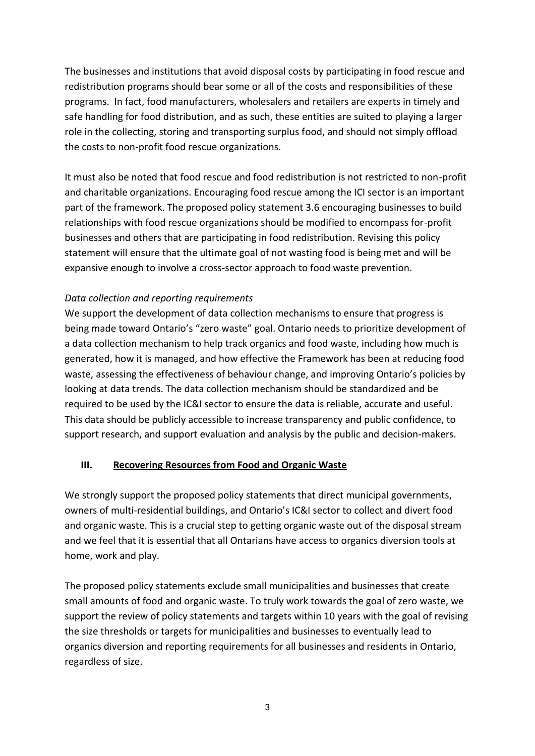The businesses and institutions that avoid disposal costs by participating in food rescue and redistribution programs should bear some or all of the costs and responsibilities of these programs. In fact, food manufacturers, wholesalers and retailers are experts in timely and safe handling for food distribution, and as such, these entities are suited to playing a larger role in the collecting, storing and transporting surplus food, and should not simply offload the costs to non-profit food rescue organizations.

It must also be noted that food rescue and food redistribution is not restricted to non-profit and charitable organizations. Encouraging food rescue among the ICI sector is an important part of the framework. The proposed policy statement 3.6 encouraging businesses to build relationships with food rescue organizations should be modified to encompass for-profit businesses and others that are participating in food redistribution. Revising this policy statement will ensure that the ultimate goal of not wasting food is being met and will be expansive enough to involve a cross-sector approach to food waste prevention.

## *Data collection and reporting requirements*

We support the development of data collection mechanisms to ensure that progress is being made toward Ontario's "zero waste" goal. Ontario needs to prioritize development of a data collection mechanism to help track organics and food waste, including how much is generated, how it is managed, and how effective the Framework has been at reducing food waste, assessing the effectiveness of behaviour change, and improving Ontario's policies by looking at data trends. The data collection mechanism should be standardized and be required to be used by the IC&I sector to ensure the data is reliable, accurate and useful. This data should be publicly accessible to increase transparency and public confidence, to support research, and support evaluation and analysis by the public and decision-makers.

# **III. Recovering Resources from Food and Organic Waste**

We strongly support the proposed policy statements that direct municipal governments, owners of multi-residential buildings, and Ontario's IC&I sector to collect and divert food and organic waste. This is a crucial step to getting organic waste out of the disposal stream and we feel that it is essential that all Ontarians have access to organics diversion tools at home, work and play.

The proposed policy statements exclude small municipalities and businesses that create small amounts of food and organic waste. To truly work towards the goal of zero waste, we support the review of policy statements and targets within 10 years with the goal of revising the size thresholds or targets for municipalities and businesses to eventually lead to organics diversion and reporting requirements for all businesses and residents in Ontario, regardless of size.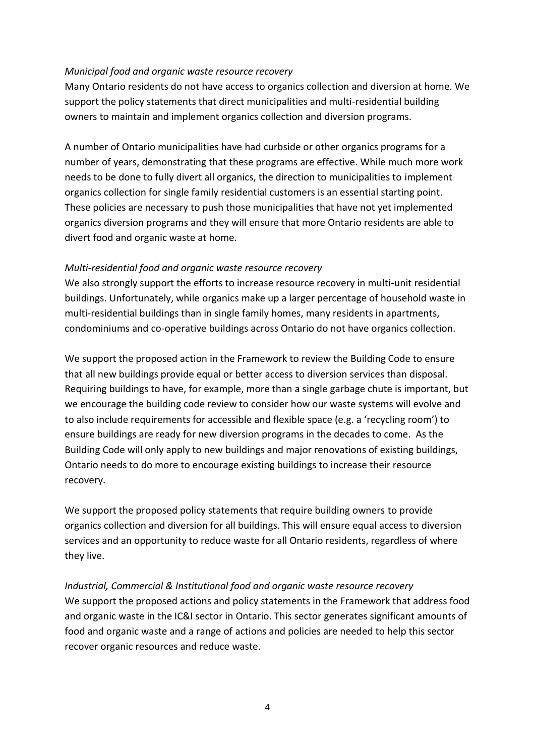### *Municipal food and organic waste resource recovery*

Many Ontario residents do not have access to organics collection and diversion at home. We support the policy statements that direct municipalities and multi-residential building owners to maintain and implement organics collection and diversion programs.

A number of Ontario municipalities have had curbside or other organics programs for a number of years, demonstrating that these programs are effective. While much more work needs to be done to fully divert all organics, the direction to municipalities to implement organics collection for single family residential customers is an essential starting point. These policies are necessary to push those municipalities that have not yet implemented organics diversion programs and they will ensure that more Ontario residents are able to divert food and organic waste at home.

### *Multi-residential food and organic waste resource recovery*

We also strongly support the efforts to increase resource recovery in multi-unit residential buildings. Unfortunately, while organics make up a larger percentage of household waste in multi-residential buildings than in single family homes, many residents in apartments, condominiums and co-operative buildings across Ontario do not have organics collection.

We support the proposed action in the Framework to review the Building Code to ensure that all new buildings provide equal or better access to diversion services than disposal. Requiring buildings to have, for example, more than a single garbage chute is important, but we encourage the building code review to consider how our waste systems will evolve and to also include requirements for accessible and flexible space (e.g. a 'recycling room') to ensure buildings are ready for new diversion programs in the decades to come. As the Building Code will only apply to new buildings and major renovations of existing buildings, Ontario needs to do more to encourage existing buildings to increase their resource recovery.

We support the proposed policy statements that require building owners to provide organics collection and diversion for all buildings. This will ensure equal access to diversion services and an opportunity to reduce waste for all Ontario residents, regardless of where they live.

*Industrial, Commercial & Institutional food and organic waste resource recovery* We support the proposed actions and policy statements in the Framework that address food and organic waste in the IC&I sector in Ontario. This sector generates significant amounts of food and organic waste and a range of actions and policies are needed to help this sector recover organic resources and reduce waste.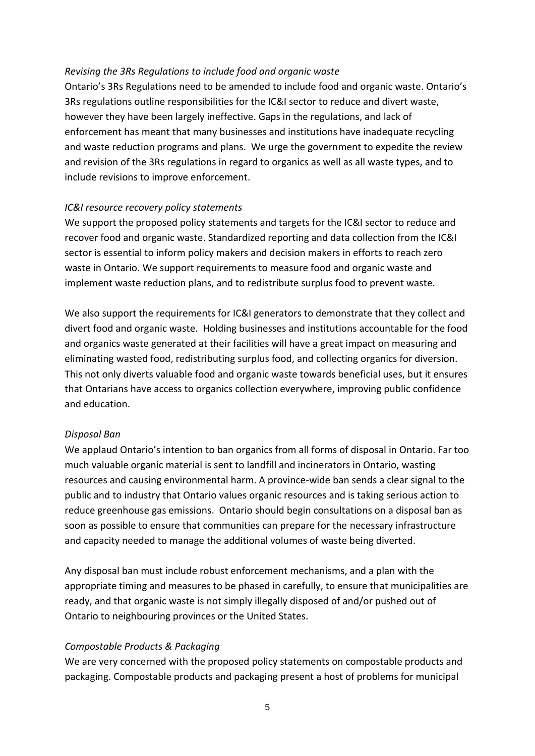### *Revising the 3Rs Regulations to include food and organic waste*

Ontario's 3Rs Regulations need to be amended to include food and organic waste. Ontario's 3Rs regulations outline responsibilities for the IC&I sector to reduce and divert waste, however they have been largely ineffective. Gaps in the regulations, and lack of enforcement has meant that many businesses and institutions have inadequate recycling and waste reduction programs and plans. We urge the government to expedite the review and revision of the 3Rs regulations in regard to organics as well as all waste types, and to include revisions to improve enforcement.

### *IC&I resource recovery policy statements*

We support the proposed policy statements and targets for the IC&I sector to reduce and recover food and organic waste. Standardized reporting and data collection from the IC&I sector is essential to inform policy makers and decision makers in efforts to reach zero waste in Ontario. We support requirements to measure food and organic waste and implement waste reduction plans, and to redistribute surplus food to prevent waste.

We also support the requirements for IC&I generators to demonstrate that they collect and divert food and organic waste. Holding businesses and institutions accountable for the food and organics waste generated at their facilities will have a great impact on measuring and eliminating wasted food, redistributing surplus food, and collecting organics for diversion. This not only diverts valuable food and organic waste towards beneficial uses, but it ensures that Ontarians have access to organics collection everywhere, improving public confidence and education.

#### *Disposal Ban*

We applaud Ontario's intention to ban organics from all forms of disposal in Ontario. Far too much valuable organic material is sent to landfill and incinerators in Ontario, wasting resources and causing environmental harm. A province-wide ban sends a clear signal to the public and to industry that Ontario values organic resources and is taking serious action to reduce greenhouse gas emissions. Ontario should begin consultations on a disposal ban as soon as possible to ensure that communities can prepare for the necessary infrastructure and capacity needed to manage the additional volumes of waste being diverted.

Any disposal ban must include robust enforcement mechanisms, and a plan with the appropriate timing and measures to be phased in carefully, to ensure that municipalities are ready, and that organic waste is not simply illegally disposed of and/or pushed out of Ontario to neighbouring provinces or the United States.

## *Compostable Products & Packaging*

We are very concerned with the proposed policy statements on compostable products and packaging. Compostable products and packaging present a host of problems for municipal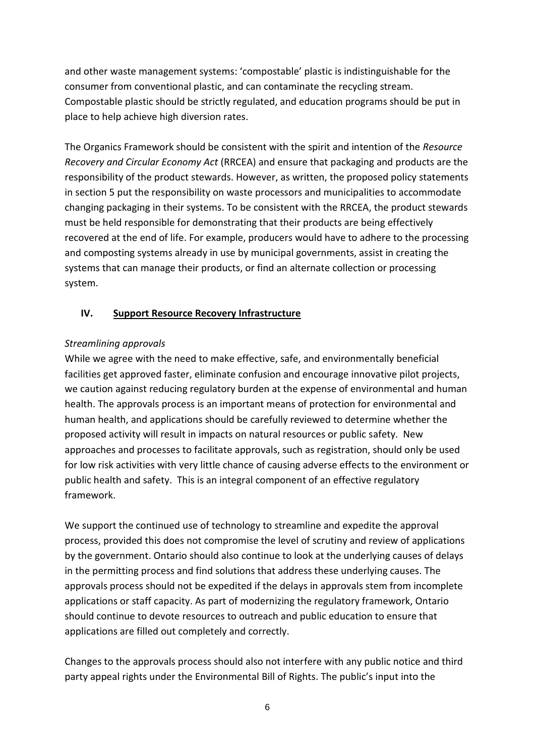and other waste management systems: 'compostable' plastic is indistinguishable for the consumer from conventional plastic, and can contaminate the recycling stream. Compostable plastic should be strictly regulated, and education programs should be put in place to help achieve high diversion rates.

The Organics Framework should be consistent with the spirit and intention of the *Resource Recovery and Circular Economy Act* (RRCEA) and ensure that packaging and products are the responsibility of the product stewards. However, as written, the proposed policy statements in section 5 put the responsibility on waste processors and municipalities to accommodate changing packaging in their systems. To be consistent with the RRCEA, the product stewards must be held responsible for demonstrating that their products are being effectively recovered at the end of life. For example, producers would have to adhere to the processing and composting systems already in use by municipal governments, assist in creating the systems that can manage their products, or find an alternate collection or processing system.

## **IV. Support Resource Recovery Infrastructure**

## *Streamlining approvals*

While we agree with the need to make effective, safe, and environmentally beneficial facilities get approved faster, eliminate confusion and encourage innovative pilot projects, we caution against reducing regulatory burden at the expense of environmental and human health. The approvals process is an important means of protection for environmental and human health, and applications should be carefully reviewed to determine whether the proposed activity will result in impacts on natural resources or public safety. New approaches and processes to facilitate approvals, such as registration, should only be used for low risk activities with very little chance of causing adverse effects to the environment or public health and safety. This is an integral component of an effective regulatory framework.

We support the continued use of technology to streamline and expedite the approval process, provided this does not compromise the level of scrutiny and review of applications by the government. Ontario should also continue to look at the underlying causes of delays in the permitting process and find solutions that address these underlying causes. The approvals process should not be expedited if the delays in approvals stem from incomplete applications or staff capacity. As part of modernizing the regulatory framework, Ontario should continue to devote resources to outreach and public education to ensure that applications are filled out completely and correctly.

Changes to the approvals process should also not interfere with any public notice and third party appeal rights under the Environmental Bill of Rights. The public's input into the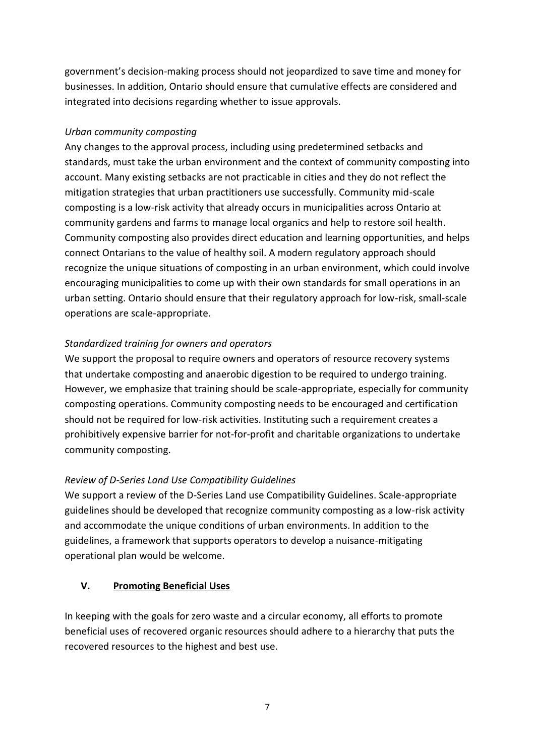government's decision-making process should not jeopardized to save time and money for businesses. In addition, Ontario should ensure that cumulative effects are considered and integrated into decisions regarding whether to issue approvals.

## *Urban community composting*

Any changes to the approval process, including using predetermined setbacks and standards, must take the urban environment and the context of community composting into account. Many existing setbacks are not practicable in cities and they do not reflect the mitigation strategies that urban practitioners use successfully. Community mid-scale composting is a low-risk activity that already occurs in municipalities across Ontario at community gardens and farms to manage local organics and help to restore soil health. Community composting also provides direct education and learning opportunities, and helps connect Ontarians to the value of healthy soil. A modern regulatory approach should recognize the unique situations of composting in an urban environment, which could involve encouraging municipalities to come up with their own standards for small operations in an urban setting. Ontario should ensure that their regulatory approach for low-risk, small-scale operations are scale-appropriate.

# *Standardized training for owners and operators*

We support the proposal to require owners and operators of resource recovery systems that undertake composting and anaerobic digestion to be required to undergo training. However, we emphasize that training should be scale-appropriate, especially for community composting operations. Community composting needs to be encouraged and certification should not be required for low-risk activities. Instituting such a requirement creates a prohibitively expensive barrier for not-for-profit and charitable organizations to undertake community composting.

# *Review of D-Series Land Use Compatibility Guidelines*

We support a review of the D-Series Land use Compatibility Guidelines. Scale-appropriate guidelines should be developed that recognize community composting as a low-risk activity and accommodate the unique conditions of urban environments. In addition to the guidelines, a framework that supports operators to develop a nuisance-mitigating operational plan would be welcome.

## **V. Promoting Beneficial Uses**

In keeping with the goals for zero waste and a circular economy, all efforts to promote beneficial uses of recovered organic resources should adhere to a hierarchy that puts the recovered resources to the highest and best use.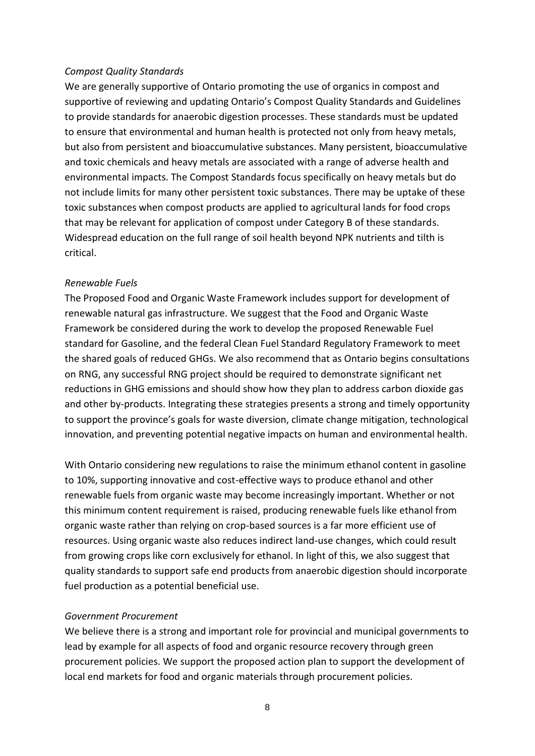#### *Compost Quality Standards*

We are generally supportive of Ontario promoting the use of organics in compost and supportive of reviewing and updating Ontario's Compost Quality Standards and Guidelines to provide standards for anaerobic digestion processes. These standards must be updated to ensure that environmental and human health is protected not only from heavy metals, but also from persistent and bioaccumulative substances. Many persistent, bioaccumulative and toxic chemicals and heavy metals are associated with a range of adverse health and environmental impacts. The Compost Standards focus specifically on heavy metals but do not include limits for many other persistent toxic substances. There may be uptake of these toxic substances when compost products are applied to agricultural lands for food crops that may be relevant for application of compost under Category B of these standards. Widespread education on the full range of soil health beyond NPK nutrients and tilth is critical.

### *Renewable Fuels*

The Proposed Food and Organic Waste Framework includes support for development of renewable natural gas infrastructure. We suggest that the Food and Organic Waste Framework be considered during the work to develop the proposed Renewable Fuel standard for Gasoline, and the federal Clean Fuel Standard Regulatory Framework to meet the shared goals of reduced GHGs. We also recommend that as Ontario begins consultations on RNG, any successful RNG project should be required to demonstrate significant net reductions in GHG emissions and should show how they plan to address carbon dioxide gas and other by-products. Integrating these strategies presents a strong and timely opportunity to support the province's goals for waste diversion, climate change mitigation, technological innovation, and preventing potential negative impacts on human and environmental health.

With Ontario considering new regulations to raise the minimum ethanol content in gasoline to 10%, supporting innovative and cost-effective ways to produce ethanol and other renewable fuels from organic waste may become increasingly important. Whether or not this minimum content requirement is raised, producing renewable fuels like ethanol from organic waste rather than relying on crop-based sources is a far more efficient use of resources. Using organic waste also reduces indirect land-use changes, which could result from growing crops like corn exclusively for ethanol. In light of this, we also suggest that quality standards to support safe end products from anaerobic digestion should incorporate fuel production as a potential beneficial use.

## *Government Procurement*

We believe there is a strong and important role for provincial and municipal governments to lead by example for all aspects of food and organic resource recovery through green procurement policies. We support the proposed action plan to support the development of local end markets for food and organic materials through procurement policies.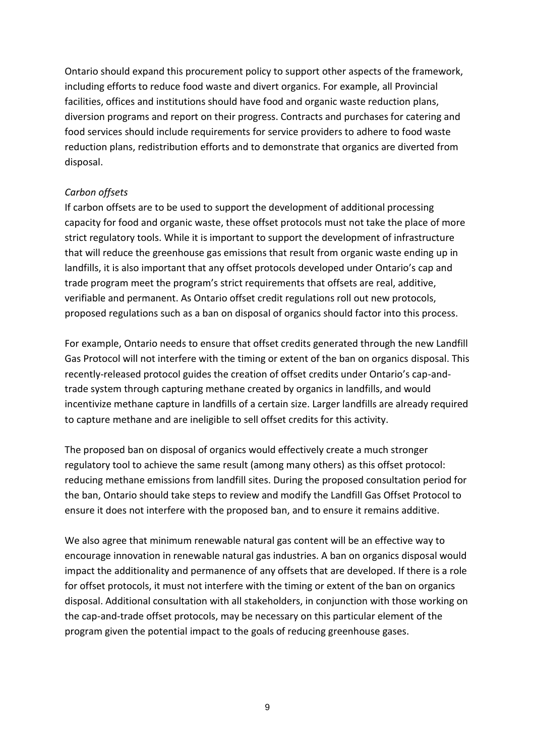Ontario should expand this procurement policy to support other aspects of the framework, including efforts to reduce food waste and divert organics. For example, all Provincial facilities, offices and institutions should have food and organic waste reduction plans, diversion programs and report on their progress. Contracts and purchases for catering and food services should include requirements for service providers to adhere to food waste reduction plans, redistribution efforts and to demonstrate that organics are diverted from disposal.

#### *Carbon offsets*

If carbon offsets are to be used to support the development of additional processing capacity for food and organic waste, these offset protocols must not take the place of more strict regulatory tools. While it is important to support the development of infrastructure that will reduce the greenhouse gas emissions that result from organic waste ending up in landfills, it is also important that any offset protocols developed under Ontario's cap and trade program meet the program's strict requirements that offsets are real, additive, verifiable and permanent. As Ontario offset credit regulations roll out new protocols, proposed regulations such as a ban on disposal of organics should factor into this process.

For example, Ontario needs to ensure that offset credits generated through the new Landfill Gas Protocol will not interfere with the timing or extent of the ban on organics disposal. This recently-released protocol guides the creation of offset credits under Ontario's cap-andtrade system through capturing methane created by organics in landfills, and would incentivize methane capture in landfills of a certain size. Larger landfills are already required to capture methane and are ineligible to sell offset credits for this activity.

The proposed ban on disposal of organics would effectively create a much stronger regulatory tool to achieve the same result (among many others) as this offset protocol: reducing methane emissions from landfill sites. During the proposed consultation period for the ban, Ontario should take steps to review and modify the Landfill Gas Offset Protocol to ensure it does not interfere with the proposed ban, and to ensure it remains additive.

We also agree that minimum renewable natural gas content will be an effective way to encourage innovation in renewable natural gas industries. A ban on organics disposal would impact the additionality and permanence of any offsets that are developed. If there is a role for offset protocols, it must not interfere with the timing or extent of the ban on organics disposal. Additional consultation with all stakeholders, in conjunction with those working on the cap-and-trade offset protocols, may be necessary on this particular element of the program given the potential impact to the goals of reducing greenhouse gases.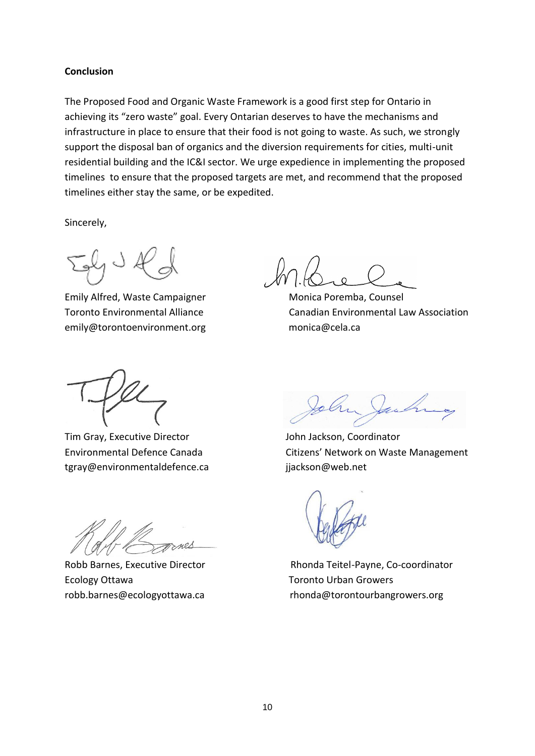#### **Conclusion**

The Proposed Food and Organic Waste Framework is a good first step for Ontario in achieving its "zero waste" goal. Every Ontarian deserves to have the mechanisms and infrastructure in place to ensure that their food is not going to waste. As such, we strongly support the disposal ban of organics and the diversion requirements for cities, multi-unit residential building and the IC&I sector. We urge expedience in implementing the proposed timelines to ensure that the proposed targets are met, and recommend that the proposed timelines either stay the same, or be expedited.

Sincerely,

Emily Alfred, Waste Campaigner Monica Poremba, Counsel emily@torontoenvironment.orgmonica@cela.ca

Toronto Environmental Alliance Canadian Environmental Law Association

Tim Gray, Executive Director **Gray** John Jackson, Coordinator tgray@environmentaldefence.ca jjackson@web.net

Ecology Ottawa Toronto Urban Growers

Environmental Defence Canada Citizens' Network on Waste Management

Robb Barnes, Executive Director Rhonda Teitel-Payne, Co-coordinator robb.barnes@ecologyottawa.ca rhonda@torontourbangrowers.org